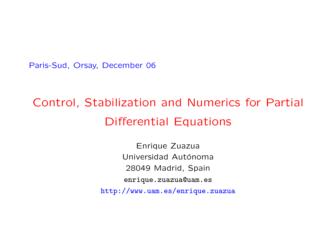Paris-Sud, Orsay, December 06

# Control, Stabilization and Numerics for Partial Differential Equations

Enrique Zuazua Universidad Autónoma 28049 Madrid, Spain enrique.zuazua@uam.es http://www.uam.es/enrique.zuazua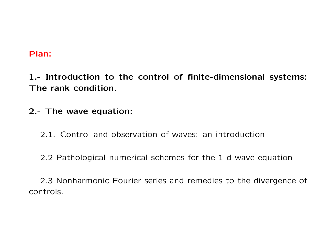### Plan:

1.- Introduction to the control of finite-dimensional systems: The rank condition.

2.- The wave equation:

2.1. Control and observation of waves: an introduction

2.2 Pathological numerical schemes for the 1-d wave equation

2.3 Nonharmonic Fourier series and remedies to the divergence of controls.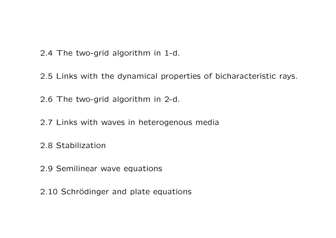- 2.4 The two-grid algorithm in 1-d.
- 2.5 Links with the dynamical properties of bicharacteristic rays.
- 2.6 The two-grid algorithm in 2-d.
- 2.7 Links with waves in heterogenous media
- 2.8 Stabilization
- 2.9 Semilinear wave equations
- 2.10 Schrödinger and plate equations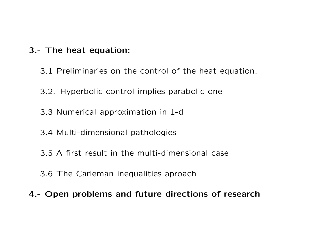# 3.- The heat equation:

- 3.1 Preliminaries on the control of the heat equation.
- 3.2. Hyperbolic control implies parabolic one
- 3.3 Numerical approximation in 1-d
- 3.4 Multi-dimensional pathologies
- 3.5 A first result in the multi-dimensional case
- 3.6 The Carleman inequalities aproach
- 4.- Open problems and future directions of research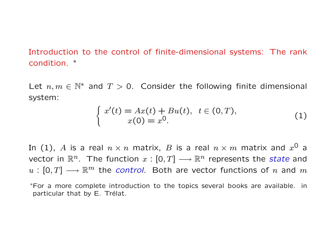Introduction to the control of finite-dimensional systems: The rank condition. ∗

Let  $n, m \in \mathbb{N}^*$  and  $T > 0$ . Consider the following finite dimensional system:

$$
\begin{cases}\nx'(t) = Ax(t) + Bu(t), & t \in (0, T), \\
x(0) = x^0.\n\end{cases}
$$
\n(1)

In (1),  $A$  is a real  $n \times n$  matrix,  $B$  is a real  $n \times m$  matrix and  $x^{\mathsf{O}}$  a vector in  $\mathbb{R}^n$ . The function  $x : [0, T] \longrightarrow \mathbb{R}^n$  represents the *state* and  $u : [0, T] \longrightarrow \mathbb{R}^m$  the control. Both are vector functions of n and m

<sup>∗</sup>For a more complete introduction to the topics several books are available. in particular that by E. Trélat.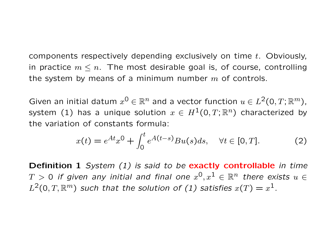components respectively depending exclusively on time t. Obviously, in practice  $m \leq n$ . The most desirable goal is, of course, controlling the system by means of a minimum number  $m$  of controls.

Given an initial datum  $x^0 \in \mathbb{R}^n$  and a vector function  $u \in L^2(0,T;\mathbb{R}^m)$ , system (1) has a unique solution  $x \in H^1(0,T;\mathbb{R}^n)$  characterized by the variation of constants formula:

$$
x(t) = e^{At}x^{0} + \int_{0}^{t} e^{A(t-s)}Bu(s)ds, \quad \forall t \in [0, T].
$$
 (2)

Definition 1 System (1) is said to be exactly controllable in time  $T\,>\,0$  if given any initial and final one  $x^{\textsf{O}},x^{\textsf{1}}\,\in\,\mathbb{R}^n$  there exists  $u\,\in\,$  $L^2(0,T,{\mathbb R}^m)$  such that the solution of (1) satisfies  $x(T)=x^1.$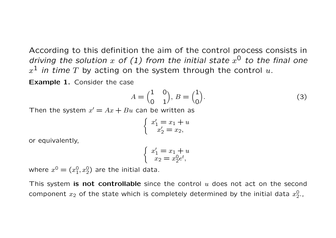According to this definition the aim of the control process consists in driving the solution  $x$  of (1) from the initial state  $x^0$  to the final one  $x^{\mathbf{1}}$  *in time*  $T$  by acting on the system through the control  $u.$ 

Example 1. Consider the case

$$
A = \begin{pmatrix} 1 & 0 \\ 0 & 1 \end{pmatrix}, B = \begin{pmatrix} 1 \\ 0 \end{pmatrix}.
$$
 (3)

Then the system  $x' = Ax + Bu$  can be written as

$$
\begin{cases}\nx'_1 = x_1 + u \\
x'_2 = x_2,\n\end{cases}
$$

or equivalently,

$$
\begin{cases}\nx'_1 = x_1 + u \\
x_2 = x_2^0 e^t,\n\end{cases}
$$

where  $x^0 = (x_1^0)$  $\left( 0, x_2^0 \right)$  are the initial data.

This system is not controllable since the control  $u$  does not act on the second component  $x_2$  of the state which is completely determined by the initial data  $x_2^0$ 0<br>2,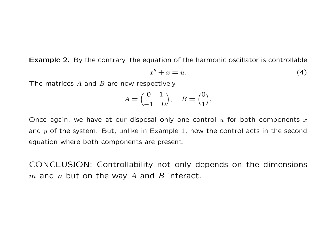Example 2. By the contrary, the equation of the harmonic oscillator is controllable

$$
x'' + x = u.\t\t(4)
$$

The matrices  $A$  and  $B$  are now respectively

$$
A = \begin{pmatrix} 0 & 1 \\ -1 & 0 \end{pmatrix}, \quad B = \begin{pmatrix} 0 \\ 1 \end{pmatrix}.
$$

Once again, we have at our disposal only one control  $u$  for both components  $x$ and  $y$  of the system. But, unlike in Example 1, now the control acts in the second equation where both components are present.

CONCLUSION: Controllability not only depends on the dimensions  $m$  and  $n$  but on the way  $A$  and  $B$  interact.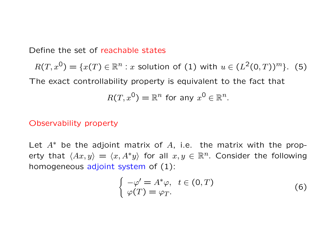Define the set of reachable states

 $R(T, x^0) = \{x(T) \in \mathbb{R}^n : x \text{ solution of (1) with } u \in (L^2(0,T))^m\}.$  (5) The exact controllability property is equivalent to the fact that  $R(T,x^0)=\mathbb{R}^n$  for any  $x^0\in\mathbb{R}^n$ .

#### Observability property

Let  $A^*$  be the adjoint matrix of A, i.e. the matrix with the property that  $\langle Ax, y \rangle = \langle x, A^*y \rangle$  for all  $x, y \in \mathbb{R}^n$ . Consider the following homogeneous adjoint system of (1):

$$
\begin{cases}\n-\varphi' = A^*\varphi, & t \in (0, T) \\
\varphi(T) = \varphi_T.\n\end{cases} \n\tag{6}
$$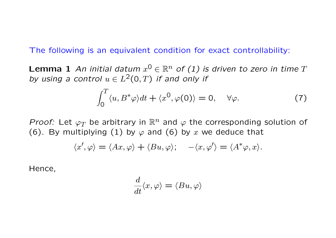The following is an equivalent condition for exact controllability:

**Lemma 1** An initial datum  $x^0 \in \mathbb{R}^n$  of (1) is driven to zero in time T by using a control  $u \in L^2(0,T)$  if and only if

$$
\int_0^T \langle u, B^* \varphi \rangle dt + \langle x^0, \varphi(0) \rangle = 0, \quad \forall \varphi.
$$
 (7)

*Proof:* Let  $\varphi_T$  be arbitrary in  $\mathbb{R}^n$  and  $\varphi$  the corresponding solution of (6). By multiplying (1) by  $\varphi$  and (6) by x we deduce that

$$
\langle x', \varphi \rangle = \langle Ax, \varphi \rangle + \langle Bu, \varphi \rangle; \quad -\langle x, \varphi' \rangle = \langle A^* \varphi, x \rangle.
$$

Hence,

$$
\frac{d}{dt}\langle x,\varphi\rangle=\langle Bu,\varphi\rangle
$$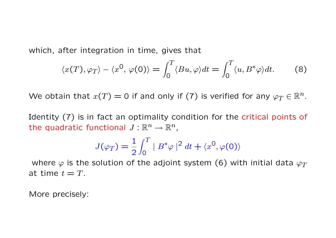which, after integration in time, gives that

$$
\langle x(T), \varphi_T \rangle - \langle x^0, \varphi(0) \rangle = \int_0^T \langle Bu, \varphi \rangle dt = \int_0^T \langle u, B^* \varphi \rangle dt. \tag{8}
$$

We obtain that  $x(T) = 0$  if and only if (7) is verified for any  $\varphi_T \in \mathbb{R}^n$ .

Identity (7) is in fact an optimality condition for the critical points of the quadratic functional  $J:\mathbb{R}^n\to\mathbb{R}^n$ ,

$$
J(\varphi_T) = \frac{1}{2} \int_0^T |B^* \varphi|^2 dt + \langle x^0, \varphi(0) \rangle
$$

where  $\varphi$  is the solution of the adjoint system (6) with initial data  $\varphi_T$ at time  $t = T$ .

More precisely: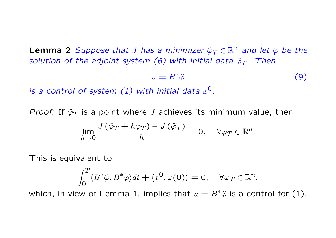**Lemma 2** Suppose that J has a minimizer  $\hat{\varphi}_T \in \mathbb{R}^n$  and let  $\hat{\varphi}$  be the solution of the adjoint system (6) with initial data  $\hat{\varphi}_T$ . Then

$$
u = B^* \hat{\varphi} \tag{9}
$$

is a control of system  $(1)$  with initial data  $x^0$ .

*Proof:* If  $\hat{\varphi}_T$  is a point where J achieves its minimum value, then

$$
\lim_{h \to 0} \frac{J(\hat{\varphi}_T + h\varphi_T) - J(\hat{\varphi}_T)}{h} = 0, \quad \forall \varphi_T \in \mathbb{R}^n.
$$

This is equivalent to

$$
\int_0^T \langle B^*\hat{\varphi}, B^*\varphi \rangle dt + \langle x^0, \varphi(0) \rangle = 0, \quad \forall \varphi_T \in \mathbb{R}^n,
$$

which, in view of Lemma 1, implies that  $u = B^* \hat{\varphi}$  is a control for (1).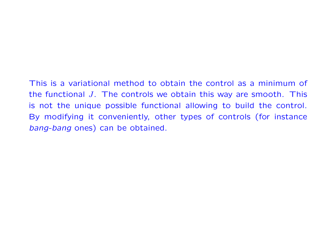# This is a variational method to obtain the control as a minimum of the functional  $J$ . The controls we obtain this way are smooth. This is not the unique possible functional allowing to build the control. By modifying it conveniently, other types of controls (for instance bang-bang ones) can be obtained.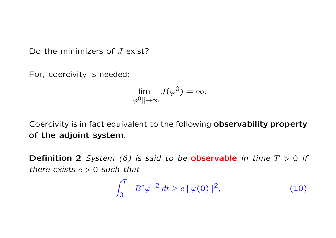Do the minimizers of J exist?

For, coercivity is needed:

$$
\lim_{||\varphi^0|| \to \infty} J(\varphi^0) = \infty.
$$

Coercivity is in fact equivalent to the following observability property of the adjoint system.

**Definition 2** System (6) is said to be **observable** in time  $T > 0$  if there exists  $c > 0$  such that

$$
\int_0^T \mid B^* \varphi \mid^2 dt \ge c \mid \varphi(0) \mid^2,
$$
 (10)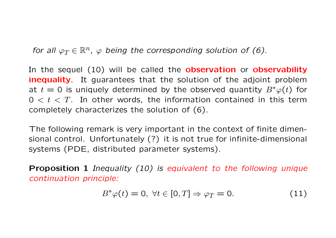for all  $\varphi_T \in \mathbb{R}^n$ ,  $\varphi$  being the corresponding solution of (6).

In the sequel (10) will be called the **observation** or **observability inequality**. It guarantees that the solution of the adjoint problem at  $t = 0$  is uniquely determined by the observed quantity  $B^*\varphi(t)$  for  $0 < t < T$ . In other words, the information contained in this term completely characterizes the solution of (6).

The following remark is very important in the context of finite dimensional control. Unfortunately (?) it is not true for infinite-dimensional systems (PDE, distributed parameter systems).

Proposition 1 Inequality (10) is equivalent to the following unique continuation principle:

$$
B^*\varphi(t) = 0, \ \forall t \in [0, T] \Rightarrow \varphi_T = 0. \tag{11}
$$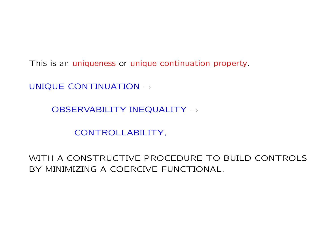This is an uniqueness or unique continuation property.

UNIQUE CONTINUATION →

OBSERVABILITY INEQUALITY →

CONTROLLABILITY,

WITH A CONSTRUCTIVE PROCEDURE TO BUILD CONTROLS BY MINIMIZING A COERCIVE FUNCTIONAL.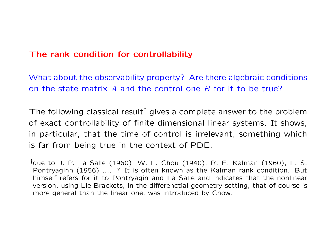# The rank condition for controllability

What about the observability property? Are there algebraic conditions on the state matrix A and the control one B for it to be true?

The following classical result<sup>†</sup> gives a complete answer to the problem of exact controllability of finite dimensional linear systems. It shows, in particular, that the time of control is irrelevant, something which is far from being true in the context of PDE.

<sup>†</sup>due to J. P. La Salle (1960), W. L. Chou (1940), R. E. Kalman (1960), L. S. Pontryaginh (1956) .... ? It is often known as the Kalman rank condition. But himself refers for it to Pontryagin and La Salle and indicates that the nonlinear version, using Lie Brackets, in the differenctial geometry setting, that of course is more general than the linear one, was introduced by Chow.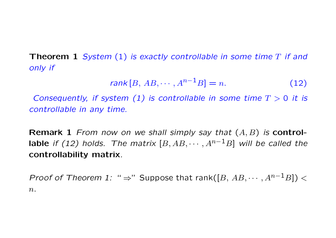**Theorem 1** System  $(1)$  is exactly controllable in some time  $T$  if and only if

$$
rank[B, AB, \cdots, A^{n-1}B] = n.
$$
 (12)

Consequently, if system (1) is controllable in some time  $T > 0$  it is controllable in any time.

**Remark 1** From now on we shall simply say that  $(A, B)$  is control**lable** if (12) holds. The matrix  $[B, AB, \dots, A^{n-1}B]$  will be called the controllability matrix.

*Proof of Theorem 1:* "  $\Rightarrow$ " Suppose that rank([B, AB,  $\cdots$ ,  $A^{n-1}B$ ]) <  $n$ .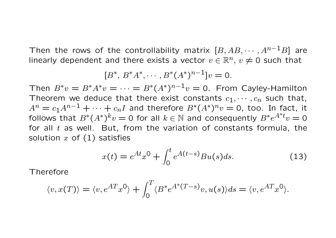Then the rows of the controllability matrix  $[B, AB, \cdots, A^{n-1}B]$  are linearly dependent and there exists a vector  $v \in \mathbb{R}^n$ ,  $v \neq 0$  such that

$$
[B^*, B^*A^*, \cdots, B^*(A^*)^{n-1}]v = 0.
$$

Then  $B^*v = B^*A^*v = \cdots = B^*(A^*)^{n-1}v = 0$ . From Cayley-Hamilton Theorem we deduce that there exist constants  $c_1, \dots, c_n$  such that,  $A^n = c_1 A^{n-1} + \cdots + c_n I$  and therefore  $B^*(A^*)^n v = 0$ , too. In fact, it follows that  $B^*(A^*)^k v = 0$  for all  $k \in \mathbb{N}$  and consequently  $B^*e^{A^*t}v = 0$ for all  $t$  as well. But, from the variation of constants formula, the solution  $x$  of  $(1)$  satisfies

$$
x(t) = e^{At}x^{0} + \int_{0}^{t} e^{A(t-s)}Bu(s)ds.
$$
 (13)

Therefore

$$
\langle v, x(T) \rangle = \langle v, e^{AT} x^0 \rangle + \int_0^T \langle B^* e^{A^* (T - s)} v, u(s) \rangle ds = \langle v, e^{AT} x^0 \rangle.
$$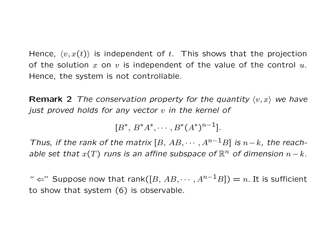Hence,  $\langle v, x(t) \rangle$  is independent of t. This shows that the projection of the solution x on v is independent of the value of the control  $u$ . Hence, the system is not controllable.

**Remark 2** The conservation property for the quantity  $\langle v, x \rangle$  we have just proved holds for any vector  $v$  in the kernel of

 $[B^*, B^*A^*, \cdots, B^*(A^*)^{n-1}].$ 

Thus, if the rank of the matrix  $[B, AB, \cdots, A^{n-1}B]$  is  $n-k$ , the reachable set that  $x(T)$  runs is an affine subspace of  $\mathbb{R}^n$  of dimension  $n - k$ .

"  $\Leftarrow$ " Suppose now that rank([B, AB,  $\cdots$ , A<sup>n-1</sup>B]) = n. It is sufficient to show that system (6) is observable.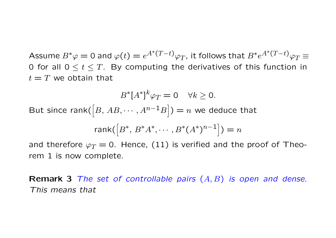Assume  $B^*\varphi=0$  and  $\varphi(t)=e^{A^*(T-t)}\varphi_T$ , it follows that  $B^*e^{A^*(T-t)}\varphi_T\equiv 0$ 0 for all  $0 \le t \le T$ . By computing the derivatives of this function in  $t = T$  we obtain that

$$
B^*[A^*]^k \varphi_T = 0 \quad \forall k \ge 0.
$$
  
But since rank([B, AB, ..., A<sup>n-1</sup>B]) = *n* we deduce that  
rank([B^\*, B^\*A^\*, ..., B^\*(A^\*)^{n-1}]) = *n*  
and therefore  $\varphi_T = 0$  Hence (11) is verified and the proof of The

and therefore  $\varphi_T = 0$ . Hence, (11) is verified and the proof of Theorem 1 is now complete.

**Remark 3** The set of controllable pairs  $(A, B)$  is open and dense. This means that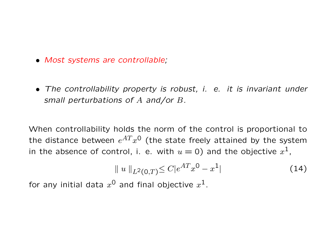- Most systems are controllable;
- The controllability property is robust, i. e. it is invariant under small perturbations of A and/or B.

When controllability holds the norm of the control is proportional to the distance between  $e^{AT}x^{\textsf{O}}$  (the state freely attained by the system in the absence of control, i. e. with  $u=0$ ) and the objective  $x^1$ ,

$$
\| u \|_{L^{2}(0,T)} \leq C|e^{AT}x^{0} - x^{1}| \qquad (14)
$$

for any initial data  $x^0$  and final objective  $x^1$ .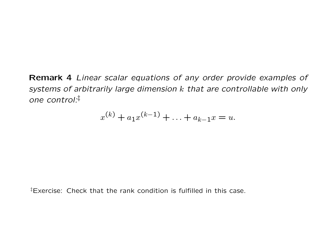Remark 4 Linear scalar equations of any order provide examples of systems of arbitrarily large dimension k that are controllable with only one control:‡

$$
x^{(k)} + a_1 x^{(k-1)} + \ldots + a_{k-1} x = u.
$$

‡Exercise: Check that the rank condition is fulfilled in this case.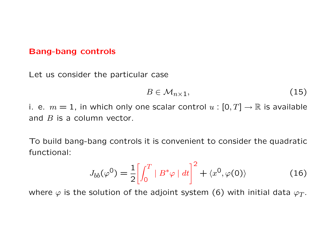#### Bang-bang controls

Let us consider the particular case

$$
B \in \mathcal{M}_{n \times 1},\tag{15}
$$

i. e.  $m = 1$ , in which only one scalar control  $u : [0, T] \rightarrow \mathbb{R}$  is available and  $B$  is a column vector.

To build bang-bang controls it is convenient to consider the quadratic functional:

$$
J_{bb}(\varphi^0) = \frac{1}{2} \left[ \int_0^T |B^* \varphi| dt \right]^2 + \langle x^0, \varphi(0) \rangle \tag{16}
$$

where  $\varphi$  is the solution of the adjoint system (6) with initial data  $\varphi_T$ .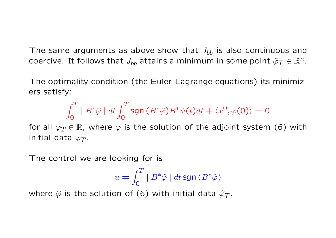The same arguments as above show that  $J_{bb}$  is also continuous and coercive. It follows that  $J_{bb}$  attains a minimum in some point  $\widehat{\varphi}_T \in \mathbb{R}^n$ .

The optimality condition (the Euler-Lagrange equations) its minimizers satisfy:

$$
\int_0^T |B^* \hat{\varphi}| dt \int_0^T \text{sgn}(B^* \hat{\varphi}) B^* \psi(t) dt + \langle x^0, \varphi(0) \rangle = 0
$$

for all  $\varphi_T \in \mathbb{R}$ , where  $\varphi$  is the solution of the adjoint system (6) with initial data  $\varphi_T$ .

The control we are looking for is

$$
u = \int_0^T |B^* \hat{\varphi}| dt \operatorname{sgn}(B^* \hat{\varphi})
$$

where  $\hat{\varphi}$  is the solution of (6) with initial data  $\hat{\varphi}_T$ .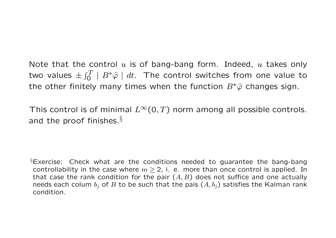Note that the control  $u$  is of bang-bang form. Indeed,  $u$  takes only two values  $\pm \int_0^T |B^* \hat{\varphi}| \ dt$ . The control switches from one value to the other finitely many times when the function  $B^*\hat{\varphi}$  changes sign.

This control is of minimal  $L^{\infty}(0,T)$  norm among all possible controls. and the proof finishes. $§$ 

 $\S$ Exercise: Check what are the conditions needed to guarantee the bang-bang controllability in the case where  $m > 2$ , i. e. more than once control is applied. In that case the rank condition for the pair  $(A, B)$  does not suffice and one actually needs each colum  $b_i$  of B to be such that the pais  $(A, b_i)$  satisfies the Kalman rank condition.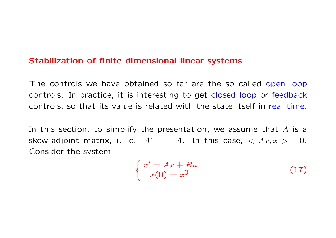#### Stabilization of finite dimensional linear systems

The controls we have obtained so far are the so called open loop controls. In practice, it is interesting to get closed loop or feedback controls, so that its value is related with the state itself in real time.

In this section, to simplify the presentation, we assume that  $A$  is a skew-adjoint matrix, i. e.  $A^* = -A$ . In this case,  $\langle Ax, x \rangle = 0$ . Consider the system

$$
\begin{cases}\nx' = Ax + Bu \\
x(0) = x^0.\n\end{cases}
$$
\n(17)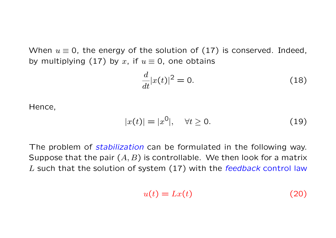When  $u \equiv 0$ , the energy of the solution of (17) is conserved. Indeed, by multiplying (17) by x, if  $u \equiv 0$ , one obtains

$$
\frac{d}{dt}|x(t)|^2 = 0.\tag{18}
$$

Hence,

$$
|x(t)| = |x^0|, \quad \forall t \ge 0. \tag{19}
$$

The problem of *stabilization* can be formulated in the following way. Suppose that the pair  $(A, B)$  is controllable. We then look for a matrix L such that the solution of system (17) with the feedback control law

$$
u(t) = Lx(t) \tag{20}
$$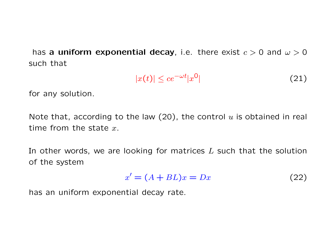has a uniform exponential decay, i.e. there exist  $c > 0$  and  $\omega > 0$ such that

$$
|x(t)| \le ce^{-\omega t} |x^0| \tag{21}
$$

for any solution.

Note that, according to the law (20), the control  $u$  is obtained in real time from the state  $x$ .

In other words, we are looking for matrices  $L$  such that the solution of the system

$$
x' = (A + BL)x = Dx \tag{22}
$$

has an uniform exponential decay rate.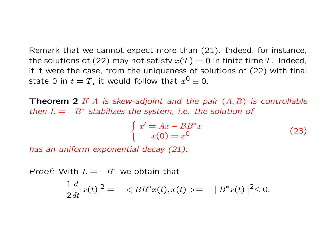Remark that we cannot expect more than (21). Indeed, for instance, the solutions of (22) may not satisfy  $x(T) = 0$  in finite time T. Indeed, if it were the case, from the uniqueness of solutions of (22) with final state 0 in  $t=T$ , it would follow that  $x^0\equiv$  0.

**Theorem 2** If A is skew-adjoint and the pair  $(A, B)$  is controllable then  $L = -B^*$  stabilizes the system, i.e. the solution of

$$
\begin{cases}\nx' = Ax - BB^*x \\
x(0) = x^0\n\end{cases}
$$
\n(23)

has an uniform exponential decay (21).

*Proof:* With  $L = -B^*$  we obtain that

$$
\frac{1}{2}\frac{d}{dt}|x(t)|^2 = - \langle BB^*x(t), x(t) \rangle = - |B^*x(t)|^2 \le 0.
$$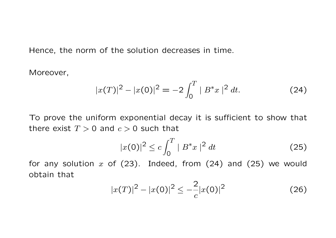Hence, the norm of the solution decreases in time.

Moreover,

$$
|x(T)|^2 - |x(0)|^2 = -2\int_0^T |B^*x|^2 dt.
$$
 (24)

To prove the uniform exponential decay it is sufficient to show that there exist  $T > 0$  and  $c > 0$  such that

$$
|x(0)|^2 \le c \int_0^T |B^*x|^2 dt \tag{25}
$$

for any solution  $x$  of (23). Indeed, from (24) and (25) we would obtain that

$$
|x(T)|^2 - |x(0)|^2 \le -\frac{2}{c}|x(0)|^2 \tag{26}
$$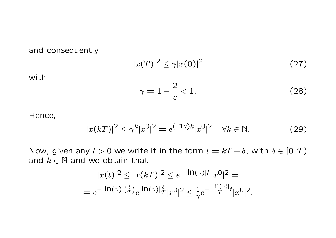## and consequently

$$
|x(T)|^2 \le \gamma |x(0)|^2 \tag{27}
$$

with

$$
\gamma = 1 - \frac{2}{c} < 1. \tag{28}
$$

Hence,

$$
|x(kT)|^2 \le \gamma^k |x^0|^2 = e^{(\ln \gamma)k} |x^0|^2 \quad \forall k \in \mathbb{N}.
$$
 (29)

Now, given any  $t > 0$  we write it in the form  $t = kT + \delta$ , with  $\delta \in [0, T)$ and  $k \in \mathbb{N}$  and we obtain that

$$
|x(t)|^2 \le |x(kT)|^2 \le e^{-|\ln(\gamma)|k}|x^0|^2 =
$$
  
=  $e^{-|\ln(\gamma)|(\frac{t}{T})}e^{|\ln(\gamma)|\frac{\delta}{T}}|x^0|^2 \le \frac{1}{\gamma}e^{-\frac{|\ln(\gamma)|}{T}t}|x^0|^2.$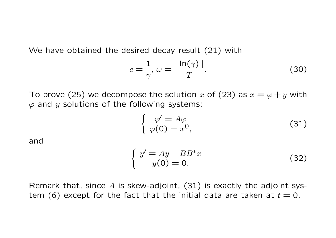We have obtained the desired decay result (21) with

$$
c = \frac{1}{\gamma}, \ \omega = \frac{|\ln(\gamma)|}{T}.\tag{30}
$$

To prove (25) we decompose the solution x of (23) as  $x = \varphi + y$  with  $\varphi$  and y solutions of the following systems:

$$
\begin{cases}\n\varphi' = A\varphi \\
\varphi(0) = x^0,\n\end{cases}
$$
\n(31)

and

$$
\begin{cases}\ny' = Ay - BB^*x \\
y(0) = 0.\n\end{cases}
$$
\n(32)

Remark that, since  $A$  is skew-adjoint, (31) is exactly the adjoint system (6) except for the fact that the initial data are taken at  $t = 0$ .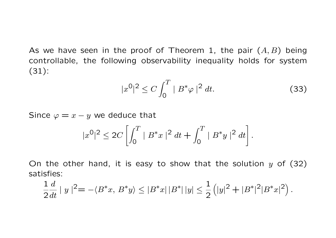As we have seen in the proof of Theorem 1, the pair  $(A, B)$  being controllable, the following observability inequality holds for system (31):

$$
|x^0|^2 \le C \int_0^T |B^* \varphi|^2 dt. \tag{33}
$$

Since  $\varphi = x - y$  we deduce that

$$
|x^{0}|^{2} \le 2C\left[\int_{0}^{T} |B^*x|^{2} dt + \int_{0}^{T} |B^*y|^{2} dt\right].
$$

On the other hand, it is easy to show that the solution  $y$  of (32) satisfies:

$$
\frac{1}{2}\frac{d}{dt} \mid y \mid^2 = -\langle B^*x, B^*y \rangle \le |B^*x| \, |B^*| \, |y| \le \frac{1}{2} \left( |y|^2 + |B^*|^2 |B^*x|^2 \right).
$$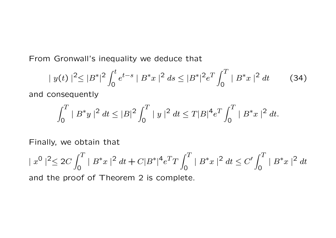From Gronwall's inequality we deduce that

$$
|y(t)|^{2} \le |B^*|^{2} \int_0^t e^{t-s} |B^*x|^2 ds \le |B^*|^{2} e^T \int_0^T |B^*x|^2 dt \qquad (34)
$$

and consequently

$$
\int_0^T |B^*y|^2 dt \le |B|^2 \int_0^T |y|^2 dt \le T|B|^4 e^T \int_0^T |B^*x|^2 dt.
$$

Finally, we obtain that

$$
||x^{0}||^{2} \le 2C \int_{0}^{T} ||B^{*}x||^{2} dt + C|B^{*}|^{4} e^{T} T \int_{0}^{T} ||B^{*}x||^{2} dt \le C' \int_{0}^{T} ||B^{*}x||^{2} dt
$$

and the proof of Theorem 2 is complete.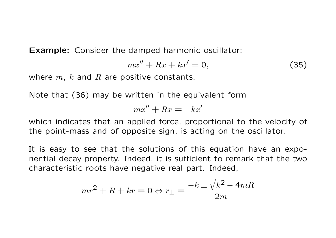Example: Consider the damped harmonic oscillator:

$$
mx'' + Rx + kx' = 0,\t(35)
$$

where  $m$ ,  $k$  and  $R$  are positive constants.

Note that (36) may be written in the equivalent form

$$
mx'' + Rx = -kx'
$$

which indicates that an applied force, proportional to the velocity of the point-mass and of opposite sign, is acting on the oscillator.

It is easy to see that the solutions of this equation have an exponential decay property. Indeed, it is sufficient to remark that the two characteristic roots have negative real part. Indeed,

$$
mr^2 + R + kr = 0 \Leftrightarrow r_{\pm} = \frac{-k \pm \sqrt{k^2 - 4mR}}{2m}
$$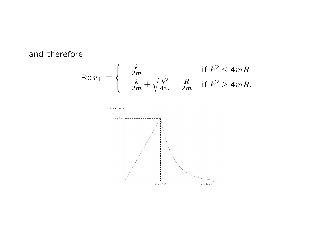and therefore

$$
\text{Re}\,r_{\pm} = \begin{cases} -\frac{k}{2m} & \text{if } k^2 \le 4mR\\ -\frac{k}{2m} \pm \sqrt{\frac{k^2}{4m} - \frac{R}{2m}} & \text{if } k^2 \ge 4mR. \end{cases}
$$

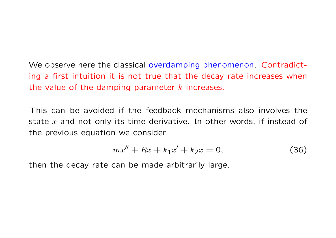# We observe here the classical overdamping phenomenon. Contradicting a first intuition it is not true that the decay rate increases when the value of the damping parameter  $k$  increases.

This can be avoided if the feedback mechanisms also involves the state  $x$  and not only its time derivative. In other words, if instead of the previous equation we consider

$$
mx'' + Rx + k_1x' + k_2x = 0,
$$
\n(36)

then the decay rate can be made arbitrarily large.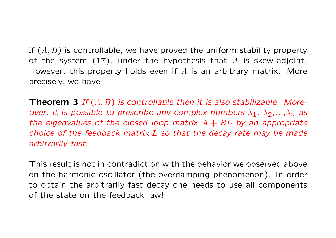If  $(A, B)$  is controllable, we have proved the uniform stability property of the system  $(17)$ , under the hypothesis that A is skew-adjoint. However, this property holds even if  $A$  is an arbitrary matrix. More precisely, we have

**Theorem 3** If  $(A, B)$  is controllable then it is also stabilizable. Moreover, it is possible to prescribe any complex numbers  $\lambda_1$ ,  $\lambda_2$ ,..., $\lambda_n$  as the eigenvalues of the closed loop matrix  $A + BL$  by an appropriate choice of the feedback matrix  $L$  so that the decay rate may be made arbitrarily fast.

This result is not in contradiction with the behavior we observed above on the harmonic oscillator (the overdamping phenomenon). In order to obtain the arbitrarily fast decay one needs to use all components of the state on the feedback law!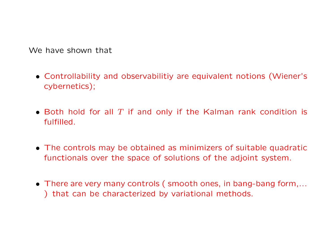We have shown that

- Controllability and observabilitiy are equivalent notions (Wiener's cybernetics);
- Both hold for all  $T$  if and only if the Kalman rank condition is fulfilled.
- The controls may be obtained as minimizers of suitable quadratic functionals over the space of solutions of the adjoint system.
- There are very many controls ( smooth ones, in bang-bang form,... ) that can be characterized by variational methods.